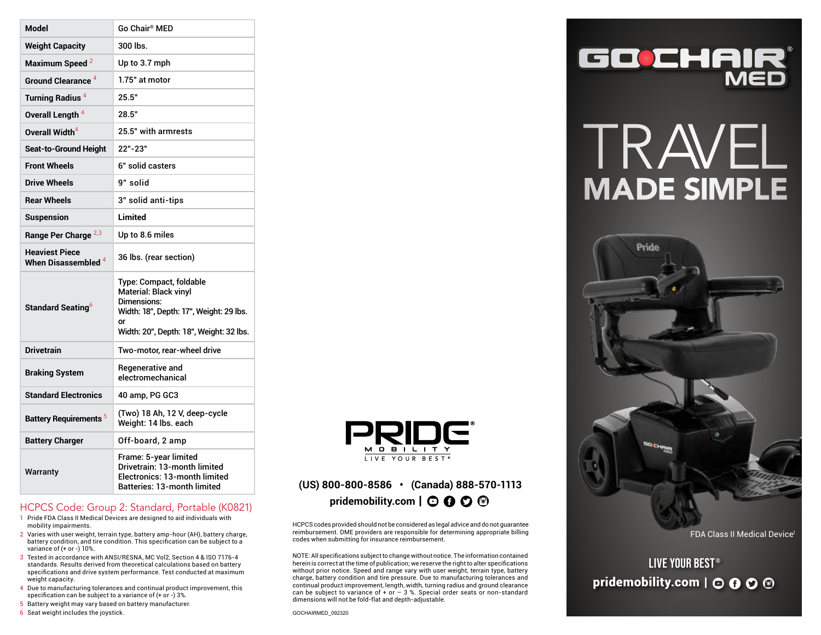| <b>Model</b>                                   | Go Chair® MED                                                                                                                                                      |
|------------------------------------------------|--------------------------------------------------------------------------------------------------------------------------------------------------------------------|
| <b>Weight Capacity</b>                         | 300 lbs.                                                                                                                                                           |
| Maximum Speed <sup>2</sup>                     | Up to 3.7 mph                                                                                                                                                      |
| Ground Clearance <sup>4</sup>                  | 1.75" at motor                                                                                                                                                     |
| Turning Radius <sup>4</sup>                    | 25.5"                                                                                                                                                              |
| Overall Length <sup>4</sup>                    | 28.5"                                                                                                                                                              |
| Overall Width <sup>4</sup>                     | 25.5" with armrests                                                                                                                                                |
| Seat-to-Ground Height                          | 22"-23"                                                                                                                                                            |
| <b>Front Wheels</b>                            | 6" solid casters                                                                                                                                                   |
| <b>Drive Wheels</b>                            | 9" solid                                                                                                                                                           |
| <b>Rear Wheels</b>                             | 3" solid anti-tips                                                                                                                                                 |
| <b>Suspension</b>                              | Limited                                                                                                                                                            |
| Range Per Charge <sup>2,3</sup>                | Up to 8.6 miles                                                                                                                                                    |
| <b>Heaviest Piece</b><br>When Disassembled $4$ | 36 lbs. (rear section)                                                                                                                                             |
| Standard Seating <sup>6</sup>                  | Type: Compact, foldable<br><b>Material: Black vinvl</b><br>Dimensions:<br>Width: 18", Depth: 17", Weight: 29 lbs.<br>or<br>Width: 20", Depth: 18", Weight: 32 lbs. |
| <b>Drivetrain</b>                              | Two-motor, rear-wheel drive                                                                                                                                        |
| <b>Braking System</b>                          | Regenerative and<br>electromechanical                                                                                                                              |
| <b>Standard Electronics</b>                    | 40 amp, PG GC3                                                                                                                                                     |
| <b>Battery Requirements<sup>5</sup></b>        | (Two) 18 Ah, 12 V, deep-cycle<br>Weight: 14 lbs. each                                                                                                              |
| <b>Battery Charger</b>                         | Off-board, 2 amp                                                                                                                                                   |
| Warranty                                       | Frame: 5-year limited<br>Drivetrain: 13-month limited<br>Electronics: 13-month limited<br><b>Batteries: 13-month limited</b>                                       |

#### HCPCS Code: Group 2: Standard, Portable (K0821)

- 1 Pride FDA Class II Medical Devices are designed to aid individuals with mobility impairments.
- 2 Varies with user weight, terrain type, battery amp-hour (AH), battery charge, battery condition, and tire condition. This specification can be subject to a variance of (+ or -) 10%.
- 3 Tested in accordance with ANSI/RESNA, MC Vol2, Section 4 & ISO 7176-4 standards. Results derived from theoretical calculations based on battery specifications and drive system performance. Test conducted at maximum weight capacity.
- 4 Due to manufacturing tolerances and continual product improvement, this specification can be subject to a variance of (+ or -) 3%.
- 5 Battery weight may vary based on battery manufacturer.
- 6 Seat weight includes the joystick.



### Batteries: 13-month limited **(US) 800-800-8586 • (Canada) 888-570-1113**  pridemobility.com | **O 0 0**

HCPCS codes provided should not be considered as legal advice and do not guarantee reimbursement. DME providers are responsible for determining appropriate billing codes when submitting for insurance reimbursement.

NOTE: All specifications subject to change without notice. The information contained herein is correct at the time of publication; we reserve the right to alter specifications without prior notice. Speed and range vary with user weight, terrain type, battery charge, battery condition and tire pressure. Due to manufacturing tolerances and continual product improvement, length, width, turning radius and ground clearance can be subject to variance of + or  $-$  3 %. Special order seats or non-standard dimensions will not be fold-flat and depth-adjustable.



# TRAVEL MADE SIMPLE



FDA Class II Medical Device<sup>1</sup>

LIVE YOUR BEST® pridemobility.com  $\vert \odot \Theta \odot \Theta \vert$